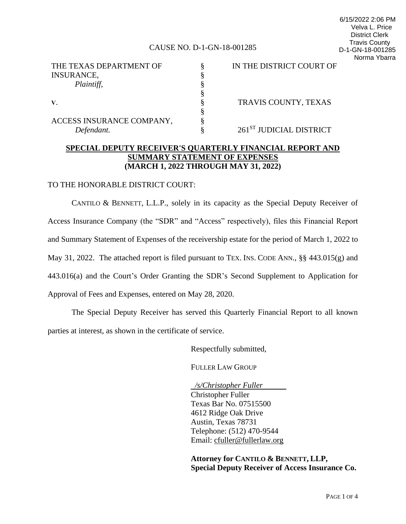#### CAUSE NO. D-1-GN-18-001285

6/15/2022 2:06 PM Velva L. Price District Clerk Travis County D-1-GN-18-001285 Norma Ybarra

| THE TEXAS DEPARTMENT OF   | IN THE DISTRICT COURT OF            |
|---------------------------|-------------------------------------|
| <b>INSURANCE,</b>         |                                     |
| Plaintiff,                |                                     |
|                           |                                     |
|                           | TRAVIS COUNTY, TEXAS                |
|                           |                                     |
| ACCESS INSURANCE COMPANY, |                                     |
| Defendant.                | 261 <sup>ST</sup> JUDICIAL DISTRICT |

## **SPECIAL DEPUTY RECEIVER'S QUARTERLY FINANCIAL REPORT AND SUMMARY STATEMENT OF EXPENSES (MARCH 1, 2022 THROUGH MAY 31, 2022)**

#### TO THE HONORABLE DISTRICT COURT:

CANTILO & BENNETT, L.L.P., solely in its capacity as the Special Deputy Receiver of Access Insurance Company (the "SDR" and "Access" respectively), files this Financial Report and Summary Statement of Expenses of the receivership estate for the period of March 1, 2022 to May 31, 2022. The attached report is filed pursuant to TEX. INS. CODE ANN., §§ 443.015(g) and 443.016(a) and the Court's Order Granting the SDR's Second Supplement to Application for Approval of Fees and Expenses, entered on May 28, 2020.

The Special Deputy Receiver has served this Quarterly Financial Report to all known parties at interest, as shown in the certificate of service.

Respectfully submitted,

FULLER LAW GROUP

 */s/Christopher Fuller* Christopher Fuller Texas Bar No. 07515500 4612 Ridge Oak Drive Austin, Texas 78731 Telephone: (512) 470-9544 Email: [cfuller@fullerlaw.org](mailto:cfuller@fullerlaw.org)

**Attorney for CANTILO & BENNETT, LLP, Special Deputy Receiver of Access Insurance Co.**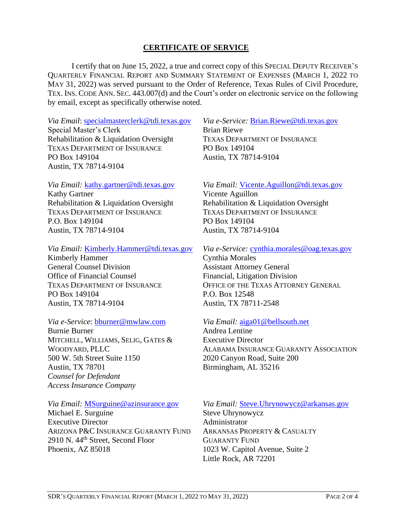## **CERTIFICATE OF SERVICE**

I certify that on June 15, 2022, a true and correct copy of this SPECIAL DEPUTY RECEIVER'S QUARTERLY FINANCIAL REPORT AND SUMMARY STATEMENT OF EXPENSES (MARCH 1, 2022 TO MAY 31, 2022) was served pursuant to the Order of Reference, Texas Rules of Civil Procedure, TEX. INS. CODE ANN. SEC. 443.007(d) and the Court's order on electronic service on the following by email, except as specifically otherwise noted.

*Via Email*: [specialmasterclerk@tdi.texas.gov](mailto:specialmasterclerk@tdi.texas.gov) Special Master's Clerk Rehabilitation & Liquidation Oversight TEXAS DEPARTMENT OF INSURANCE PO Box 149104 Austin, TX 78714-9104

## *Via Email:* [kathy.gartner@tdi.texas.gov](mailto:kathy.gartner@tdi.texas.gov)

Kathy Gartner Rehabilitation & Liquidation Oversight TEXAS DEPARTMENT OF INSURANCE P.O. Box 149104 Austin, TX 78714-9104

#### *Via Email:* [Kimberly.Hammer@tdi.texas.gov](mailto:Kimberly.Hammer@tdi.texas.gov)

Kimberly Hammer General Counsel Division Office of Financial Counsel TEXAS DEPARTMENT OF INSURANCE PO Box 149104 Austin, TX 78714-9104

#### *Via e-Service*: [bburner@mwlaw.com](mailto:bburner@mwlaw.com)

Burnie Burner MITCHELL, WILLIAMS, SELIG, GATES & WOODYARD, PLLC 500 W. 5th Street Suite 1150 Austin, TX 78701 *Counsel for Defendant Access Insurance Company*

## *Via Email:* [MSurguine@azinsurance.gov](mailto:MSurguine@azinsurance.gov)

Michael E. Surguine Executive Director ARIZONA P&C INSURANCE GUARANTY FUND 2910 N. 44<sup>th</sup> Street, Second Floor Phoenix, AZ 85018

*Via e-Service:* [Brian.Riewe@tdi.texas.gov](mailto:Brian.Riewe@tdi.texas.gov) Brian Riewe TEXAS DEPARTMENT OF INSURANCE PO Box 149104 Austin, TX 78714-9104

## *Via Email:* [Vicente.Aguillon@tdi.texas.gov](mailto:Vicente.Aguillon@tdi.texas.gov)

Vicente Aguillon Rehabilitation & Liquidation Oversight TEXAS DEPARTMENT OF INSURANCE PO Box 149104 Austin, TX 78714-9104

### *Via e-Service:* [cynthia.morales@oag.texas.gov](mailto:cynthia.morales@oag.texas.gov)

Cynthia Morales Assistant Attorney General Financial, Litigation Division OFFICE OF THE TEXAS ATTORNEY GENERAL P.O. Box 12548 Austin, TX 78711-2548

#### *Via Email:* [aiga01@bellsouth.net](mailto:aiga01@bellsouth.net)

Andrea Lentine Executive Director ALABAMA INSURANCE GUARANTY ASSOCIATION 2020 Canyon Road, Suite 200 Birmingham, AL 35216

## *Via Email:* [Steve.Uhrynowycz@arkansas.gov](mailto:Steve.Uhrynowycz@arkansas.gov)

Steve Uhrynowycz Administrator ARKANSAS PROPERTY & CASUALTY GUARANTY FUND 1023 W. Capitol Avenue, Suite 2 Little Rock, AR 72201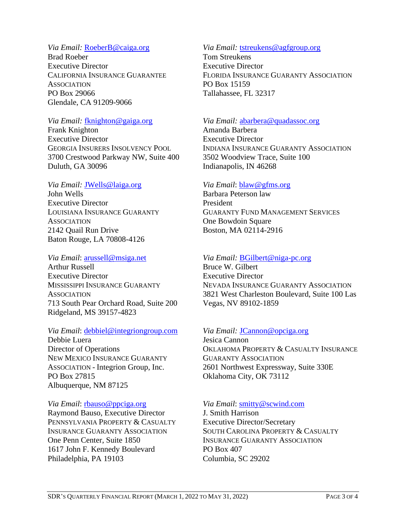## *Via Email:* [RoeberB@caiga.org](mailto:RoeberB@caiga.org)

Brad Roeber Executive Director CALIFORNIA INSURANCE GUARANTEE **ASSOCIATION** PO Box 29066 Glendale, CA 91209-9066

## *Via Email:* [fknighton@gaiga.org](mailto:fknighton@gaiga.org)

Frank Knighton Executive Director GEORGIA INSURERS INSOLVENCY POOL 3700 Crestwood Parkway NW, Suite 400 Duluth, GA 30096

## *Via Email:* [JWells@laiga.org](mailto:JWells@laiga.org)

John Wells Executive Director LOUISIANA INSURANCE GUARANTY **ASSOCIATION** 2142 Quail Run Drive Baton Rouge, LA 70808-4126

## *Via Email*: [arussell@msiga.net](mailto:arussell@msiga.net)

Arthur Russell Executive Director MISSISSIPPI INSURANCE GUARANTY **ASSOCIATION** 713 South Pear Orchard Road, Suite 200 Ridgeland, MS 39157-4823

## *Via Email*: [debbiel@integriongroup.com](mailto:debbiel@integriongroup.com)

Debbie Luera Director of Operations NEW MEXICO INSURANCE GUARANTY ASSOCIATION - Integrion Group, Inc. PO Box 27815 Albuquerque, NM 87125

## *Via Email*: [rbauso@ppciga.org](mailto:sperrone@ppciga.org)

Raymond Bauso, Executive Director PENNSYLVANIA PROPERTY & CASUALTY INSURANCE GUARANTY ASSOCIATION One Penn Center, Suite 1850 1617 John F. Kennedy Boulevard Philadelphia, PA 19103

## *Via Email:* [tstreukens@agfgroup.org](mailto:tstreukens@agfgroup.org)

Tom Streukens Executive Director FLORIDA INSURANCE GUARANTY ASSOCIATION PO Box 15159 Tallahassee, FL 32317

## *Via Email:* [abarbera@quadassoc.org](mailto:abarbera@quadassoc.org)

Amanda Barbera Executive Director INDIANA INSURANCE GUARANTY ASSOCIATION 3502 Woodview Trace, Suite 100 Indianapolis, IN 46268

## *Via Email*: [blaw@gfms.org](mailto:blaw@gfms.org)

Barbara Peterson law President GUARANTY FUND MANAGEMENT SERVICES One Bowdoin Square Boston, MA 02114-2916

## *Via Email:* [BGilbert@niga-pc.org](mailto:BGilbert@niga-pc.org)

Bruce W. Gilbert Executive Director NEVADA INSURANCE GUARANTY ASSOCIATION 3821 West Charleston Boulevard, Suite 100 Las Vegas, NV 89102-1859

## *Via Email:* [JCannon@opciga.org](mailto:JCannon@opciga.org)

Jesica Cannon OKLAHOMA PROPERTY & CASUALTY INSURANCE GUARANTY ASSOCIATION 2601 Northwest Expressway, Suite 330E Oklahoma City, OK 73112

## *Via Email*: [smitty@scwind.com](mailto:smitty@scwind.com)

J. Smith Harrison Executive Director/Secretary SOUTH CAROLINA PROPERTY & CASUALTY INSURANCE GUARANTY ASSOCIATION PO Box 407 Columbia, SC 29202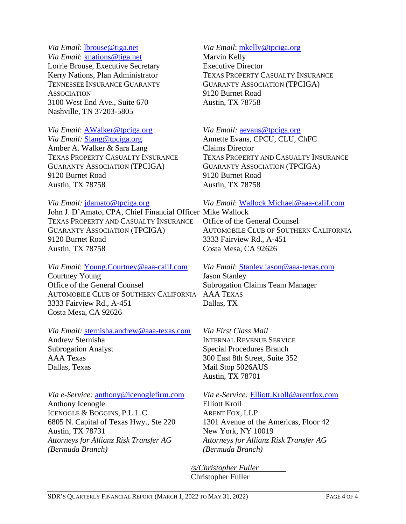#### *Via Email*: [lbrouse@tiga.net](mailto:lbrouse@tiga.net) *Via Email*: [knations@tiga.net](mailto:knations@tiga.net)

Lorrie Brouse, Executive Secretary Kerry Nations, Plan Administrator TENNESSEE INSURANCE GUARANTY **ASSOCIATION** 3100 West End Ave., Suite 670 Nashville, TN 37203-5805

## *Via Email*: [AWalker@tpciga.org](mailto:AWalker@tpciga.org)

*Via Email:* Slang@tpciga.org Amber A. Walker & Sara Lang TEXAS PROPERTY CASUALTY INSURANCE GUARANTY ASSOCIATION (TPCIGA) 9120 Burnet Road Austin, TX 78758

## *Via Email:* [jdamato@tpciga.org](mailto:jdamato@tpciga.org)

John J. D'Amato, CPA, Chief Financial Officer Mike Wallock TEXAS PROPERTY AND CASUALTY INSURANCE GUARANTY ASSOCIATION (TPCIGA) 9120 Burnet Road Austin, TX 78758

## *Via Email*: [Young.Courtney@aaa-calif.com](mailto:Young.Courtney@aaa-calif.com)

Courtney Young Office of the General Counsel AUTOMOBILE CLUB OF SOUTHERN CALIFORNIA AAA TEXAS 3333 Fairview Rd., A-451 Costa Mesa, CA 92626

## *Via Email:* [sternisha.andrew@aaa-texas.com](mailto:sternisha.andrew@aaa-texas.com)

Andrew Sternisha Subrogation Analyst AAA Texas Dallas, Texas

*Via e-Service:* [anthony@icenoglefirm.com](mailto:anthony@icenoglefirm.com) Anthony Icenogle ICENOGLE & BOGGINS, P.L.L.C. 6805 N. Capital of Texas Hwy., Ste 220 Austin, TX 78731 *Attorneys for Allianz Risk Transfer AG (Bermuda Branch)*

## *Via Email*: [mkelly@tpciga.org](mailto:mkelly@tpciga.org)

Marvin Kelly Executive Director TEXAS PROPERTY CASUALTY INSURANCE GUARANTY ASSOCIATION (TPCIGA) 9120 Burnet Road Austin, TX 78758

## *Via Email:* [aevans@tpciga.org](mailto:aevans@tpciga.org)

Annette Evans, CPCU, CLU, ChFC Claims Director TEXAS PROPERTY AND CASUALTY INSURANCE GUARANTY ASSOCIATION (TPCIGA) 9120 Burnet Road Austin, TX 78758

## *Via Email*: [Wallock.Michael@aaa-calif.com](mailto:Wallock.Michael@aaa-calif.com)

Office of the General Counsel AUTOMOBILE CLUB OF SOUTHERN CALIFORNIA 3333 Fairview Rd., A-451 Costa Mesa, CA 92626

# *Via Email*: [Stanley.jason@aaa-texas.com](mailto:Stanley.jason@aaa-texas.com) Jason Stanley Subrogation Claims Team Manager Dallas, TX

*Via First Class Mail* INTERNAL REVENUE SERVICE Special Procedures Branch 300 East 8th Street, Suite 352 Mail Stop 5026AUS Austin, TX 78701

*Via e-Service:* [Elliott.Kroll@arentfox.com](mailto:Elliott.Kroll@arentfox.com) Elliott Kroll ARENT FOX, LLP 1301 Avenue of the Americas, Floor 42 New York, NY 10019 *Attorneys for Allianz Risk Transfer AG (Bermuda Branch)*

*/s/Christopher Fuller* Christopher Fuller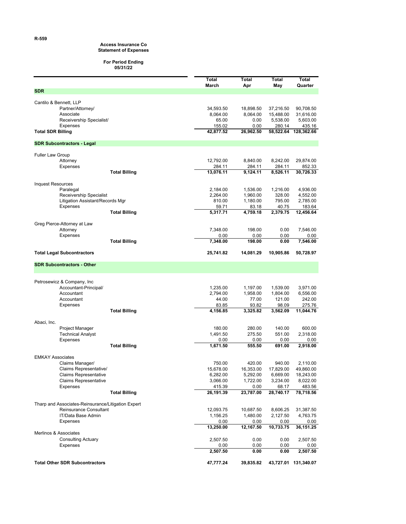### **Access Insurance Co**

#### **Statement of Expenses**

#### **For Period Ending 05/31/22**

|                          |                                                    |                      | Total               | <b>Total</b>      | Total              | Total                |
|--------------------------|----------------------------------------------------|----------------------|---------------------|-------------------|--------------------|----------------------|
| <b>SDR</b>               |                                                    |                      | March               | Apr               | May                | Quarter              |
|                          |                                                    |                      |                     |                   |                    |                      |
|                          | Cantilo & Bennett, LLP<br>Partner/Attorney/        |                      | 34,593.50           | 18,898.50         | 37,216.50          | 90,708.50            |
|                          | Associate                                          |                      | 8,064.00            | 8,064.00          | 15,488.00          | 31,616.00            |
|                          | Receivership Specialist/                           |                      | 65.00               | 0.00              | 5,538.00           | 5,603.00             |
|                          | <b>Expenses</b>                                    |                      | 155.02              | 0.00              | 280.14             | 435.16               |
| <b>Total SDR Billing</b> |                                                    |                      | 42,877.52           | 26,962.50         | 58,522.64          | 128,362.66           |
|                          | <b>SDR Subcontractors - Legal</b>                  |                      |                     |                   |                    |                      |
| <b>Fuller Law Group</b>  |                                                    |                      |                     |                   |                    |                      |
|                          | Attorney                                           |                      | 12,792.00           | 8,840.00          | 8,242.00           | 29,874.00            |
|                          | Expenses                                           |                      | 284.11              | 284.11            | 284.11             | 852.33               |
|                          |                                                    | <b>Total Billing</b> | 13,076.11           | 9,124.11          | 8,526.11           | 30,726.33            |
| Inquest Resources        |                                                    |                      |                     |                   |                    |                      |
|                          | Paralegal                                          |                      | 2,184.00            | 1,536.00          | 1,216.00           | 4,936.00             |
|                          | Receivership Specialist                            |                      | 2,264.00            | 1,960.00          | 328.00             | 4,552.00             |
|                          | Litigation Assistant/Records Mgr                   |                      | 810.00              | 1,180.00          | 795.00             | 2,785.00             |
|                          | <b>Expenses</b>                                    |                      | 59.71               | 83.18             | 40.75              | 183.64               |
|                          |                                                    | <b>Total Billing</b> | 5,317.71            | 4,759.18          | 2,379.75           | 12,456.64            |
|                          | Greg Pierce-Attorney at Law                        |                      |                     |                   |                    |                      |
|                          | Attorney                                           |                      | 7,348.00            | 198.00            | 0.00               | 7,546.00             |
|                          | Expenses                                           |                      | 0.00                | 0.00              | 0.00               | 0.00                 |
|                          |                                                    | <b>Total Billing</b> | 7,348.00            | 198.00            | 0.00               | 7,546.00             |
|                          | <b>Total Legal Subcontractors</b>                  |                      | 25,741.82           | 14,081.29         | 10,905.86          | 50,728.97            |
|                          | <b>SDR Subcontractors - Other</b>                  |                      |                     |                   |                    |                      |
|                          |                                                    |                      |                     |                   |                    |                      |
|                          | Petrosewicz & Company, Inc                         |                      |                     |                   |                    |                      |
|                          | Accountant-Principal/                              |                      | 1,235.00            | 1,197.00          | 1,539.00           | 3,971.00             |
|                          | Accountant                                         |                      | 2,794.00            | 1,958.00          | 1,804.00           | 6,556.00             |
|                          | Accountant                                         |                      | 44.00<br>83.85      | 77.00<br>93.82    | 121.00<br>98.09    | 242.00<br>275.76     |
|                          | Expenses                                           | <b>Total Billing</b> | 4,156.85            | 3,325.82          | 3,562.09           | 11,044.76            |
|                          |                                                    |                      |                     |                   |                    |                      |
| Abaci, Inc.              |                                                    |                      |                     |                   |                    |                      |
|                          | Project Manager<br><b>Technical Analyst</b>        |                      | 180.00<br>1,491.50  | 280.00            | 140.00             | 600.00               |
|                          | Expenses                                           |                      | 0.00                | 275.50<br>0.00    | 551.00<br>0.00     | 2,318.00<br>0.00     |
|                          |                                                    | <b>Total Billing</b> | 1,671.50            | 555.50            | 691.00             | 2,918.00             |
|                          |                                                    |                      |                     |                   |                    |                      |
| <b>EMKAY Associates</b>  |                                                    |                      |                     |                   |                    |                      |
|                          | Claims Manager/                                    |                      | 750.00              | 420.00            | 940.00             | 2,110.00             |
|                          | Claims Representative/                             |                      | 15,678.00           | 16,353.00         | 17,829.00          | 49,860.00            |
|                          | Claims Representative                              |                      | 6,282.00            | 5,292.00          | 6,669.00           | 18,243.00            |
|                          | <b>Claims Representative</b>                       |                      | 3,066.00            | 1,722.00          | 3,234.00           | 8,022.00             |
|                          | Expenses                                           | <b>Total Billing</b> | 415.39<br>26,191.39 | 0.00<br>23,787.00 | 68.17<br>28,740.17 | 483.56<br>78,718.56  |
|                          |                                                    |                      |                     |                   |                    |                      |
|                          | Tharp and Associates-Reinsurance/Litigation Expert |                      |                     |                   |                    |                      |
|                          | Reinsurance Consultant                             |                      | 12,093.75           | 10,687.50         | 8,606.25           | 31,387.50            |
|                          | IT/Data Base Admin                                 |                      | 1,156.25            | 1,480.00          | 2,127.50           | 4,763.75             |
|                          | Expenses                                           |                      | 0.00                | 0.00              | 0.00               | 0.00                 |
|                          | Merlinos & Associates                              |                      | 13,250.00           | 12,167.50         | 10,733.75          | 36,151.25            |
|                          | <b>Consulting Actuary</b>                          |                      | 2,507.50            | 0.00              | 0.00               | 2,507.50             |
|                          | Expenses                                           |                      | 0.00                | 0.00              | 0.00               | 0.00                 |
|                          |                                                    |                      | 2,507.50            | 0.00              | 0.00               | 2,507.50             |
|                          | <b>Total Other SDR Subcontractors</b>              |                      | 47,777.24           | 39,835.82         |                    | 43,727.01 131,340.07 |

**R-559**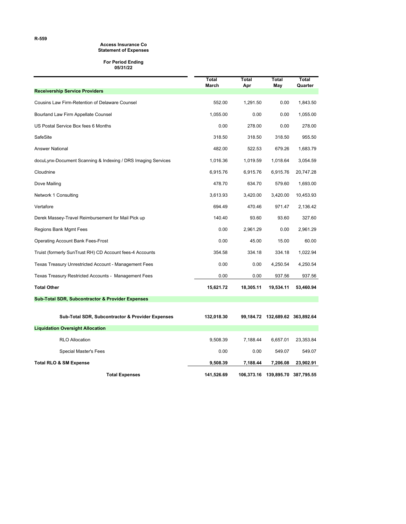#### **Access Insurance Co Statement of Expenses**

#### **For Period Ending 05/31/22**

|                                                              | Total<br>March | Total<br>Apr | <b>Total</b><br>May             | Total<br>Quarter |
|--------------------------------------------------------------|----------------|--------------|---------------------------------|------------------|
| <b>Receivership Service Providers</b>                        |                |              |                                 |                  |
| Cousins Law Firm-Retention of Delaware Counsel               | 552.00         | 1,291.50     | 0.00                            | 1,843.50         |
| Bourland Law Firm Appellate Counsel                          | 1,055.00       | 0.00         | 0.00                            | 1,055.00         |
| US Postal Service Box fees 6 Months                          | 0.00           | 278.00       | 0.00                            | 278.00           |
| SafeSite                                                     | 318.50         | 318.50       | 318.50                          | 955.50           |
| <b>Answer National</b>                                       | 482.00         | 522.53       | 679.26                          | 1,683.79         |
| docuLynx-Document Scanning & Indexing / DRS Imaging Services | 1,016.36       | 1,019.59     | 1,018.64                        | 3,054.59         |
| Cloudnine                                                    | 6,915.76       | 6,915.76     | 6,915.76                        | 20,747.28        |
| Dove Mailing                                                 | 478.70         | 634.70       | 579.60                          | 1,693.00         |
| Network 1 Consulting                                         | 3,613.93       | 3,420.00     | 3,420.00                        | 10,453.93        |
| Vertafore                                                    | 694.49         | 470.46       | 971.47                          | 2,136.42         |
| Derek Massey-Travel Reimbursement for Mail Pick up           | 140.40         | 93.60        | 93.60                           | 327.60           |
| Regions Bank Mgmt Fees                                       | 0.00           | 2,961.29     | 0.00                            | 2,961.29         |
| <b>Operating Account Bank Fees-Frost</b>                     | 0.00           | 45.00        | 15.00                           | 60.00            |
| Truist (formerly SunTrust RH) CD Account fees-4 Accounts     | 354.58         | 334.18       | 334.18                          | 1,022.94         |
| Texas Treasury Unrestricted Account - Management Fees        | 0.00           | 0.00         | 4,250.54                        | 4,250.54         |
| Texas Treasury Restricted Accounts - Management Fees         | 0.00           | 0.00         | 937.56                          | 937.56           |
| <b>Total Other</b>                                           | 15,621.72      | 18,305.11    | 19,534.11                       | 53,460.94        |
| <b>Sub-Total SDR, Subcontractor &amp; Provider Expenses</b>  |                |              |                                 |                  |
| Sub-Total SDR, Subcontractor & Provider Expenses             | 132,018.30     |              | 99,184.72 132,689.62 363,892.64 |                  |
| <b>Liquidation Oversight Allocation</b>                      |                |              |                                 |                  |
| <b>RLO Allocation</b>                                        | 9,508.39       | 7,188.44     | 6,657.01                        | 23,353.84        |
| Special Master's Fees                                        | 0.00           | 0.00         | 549.07                          | 549.07           |
| <b>Total RLO &amp; SM Expense</b>                            | 9,508.39       | 7,188.44     | 7,206.08                        | 23,902.91        |
| <b>Total Expenses</b>                                        | 141,526.69     | 106,373.16   | 139,895.70                      | 387,795.55       |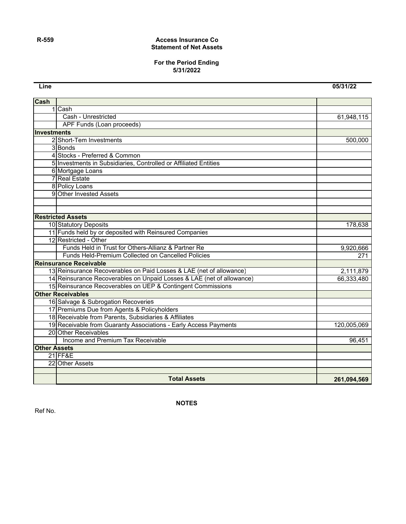#### **R-559 Access Insurance Co Statement of Net Assets**

#### **For the Period Ending 5/31/2022**

**Line 05/31/22**

| Cash                |                                                                       |             |
|---------------------|-----------------------------------------------------------------------|-------------|
|                     | 1 Cash                                                                |             |
|                     | Cash - Unrestricted                                                   | 61,948,115  |
|                     | APF Funds (Loan proceeds)                                             |             |
| <b>Investments</b>  |                                                                       |             |
|                     | 2 Short-Tem Investments                                               | 500,000     |
|                     | 3 Bonds                                                               |             |
|                     | 4 Stocks - Preferred & Common                                         |             |
|                     | 5 Investments in Subsidiaries, Controlled or Affiliated Entities      |             |
|                     | 6 Mortgage Loans                                                      |             |
|                     | 7 Real Estate                                                         |             |
|                     | 8 Policy Loans                                                        |             |
|                     | 9 Other Invested Assets                                               |             |
|                     |                                                                       |             |
|                     |                                                                       |             |
|                     | <b>Restricted Assets</b>                                              |             |
|                     | 10 Statutory Deposits                                                 | 178,638     |
|                     | 11 Funds held by or deposited with Reinsured Companies                |             |
|                     | 12 Restricted - Other                                                 |             |
|                     | Funds Held in Trust for Others-Allianz & Partner Re                   | 9,920,666   |
|                     | Funds Held-Premium Collected on Cancelled Policies                    | 271         |
|                     | <b>Reinsurance Receivable</b>                                         |             |
|                     | 13 Reinsurance Recoverables on Paid Losses & LAE (net of allowance)   | 2,111,879   |
|                     | 14 Reinsurance Recoverables on Unpaid Losses & LAE (net of allowance) | 66,333,480  |
|                     | 15 Reinsurance Recoverables on UEP & Contingent Commissions           |             |
|                     | <b>Other Receivables</b>                                              |             |
|                     | 16 Salvage & Subrogation Recoveries                                   |             |
|                     | 17 Premiums Due from Agents & Policyholders                           |             |
|                     | 18 Receivable from Parents, Subsidiaries & Affiliates                 |             |
|                     | 19 Receivable from Guaranty Associations - Early Access Payments      | 120,005,069 |
|                     | 20 Other Receivables                                                  |             |
|                     | Income and Premium Tax Receivable                                     | 96,451      |
| <b>Other Assets</b> |                                                                       |             |
|                     | <b>21 FF&amp;E</b>                                                    |             |
|                     | 22 Other Assets                                                       |             |
|                     |                                                                       |             |
|                     | <b>Total Assets</b>                                                   | 261,094,569 |

**NOTES**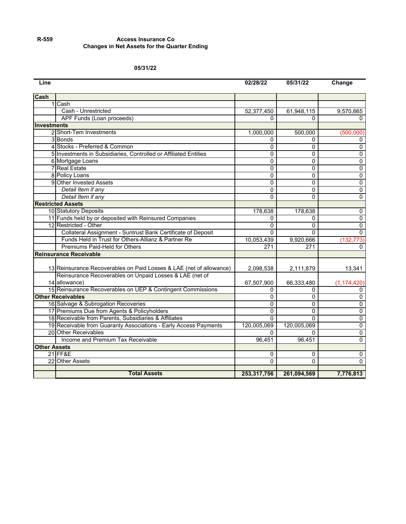#### **R-559 Access Insurance Co Changes in Net Assets for the Quarter Ending**

#### **05/31/22**

| Line                |                                                                                                      | 02/28/22    | 05/31/22    | Change         |
|---------------------|------------------------------------------------------------------------------------------------------|-------------|-------------|----------------|
| <b>Cash</b>         |                                                                                                      |             |             |                |
|                     | 1 Cash                                                                                               |             |             |                |
|                     | Cash - Unrestricted                                                                                  | 52,377,450  | 61,948,115  | 9,570,665      |
|                     | APF Funds (Loan proceeds)                                                                            | 0           | $\Omega$    | $\Omega$       |
| Investments         |                                                                                                      |             |             |                |
|                     | 2 Short-Tem Investments                                                                              | 1,000,000   | 500,000     | (500,000)      |
|                     | 3 Bonds                                                                                              | 0           | 0           | 0              |
|                     | 4 Stocks - Preferred & Common                                                                        | 0           | 0           | 0              |
|                     | 5 Investments in Subsidiaries, Controlled or Affiliated Entities                                     | 0           | 0           | 0              |
|                     | 6 Mortgage Loans                                                                                     | 0           | $\Omega$    | $\mathbf 0$    |
|                     | <b>7</b> Real Estate                                                                                 | $\Omega$    | $\Omega$    | $\overline{0}$ |
|                     | 8 Policy Loans                                                                                       | $\Omega$    | $\Omega$    | $\overline{0}$ |
|                     | 9 Other Invested Assets                                                                              | 0           | 0           | $\overline{0}$ |
|                     | Detail Item if any                                                                                   | 0           | 0           | $\pmb{0}$      |
|                     | Detail Item if any                                                                                   | $\Omega$    | 0           | $\mathbf 0$    |
|                     | <b>Restricted Assets</b>                                                                             |             |             |                |
|                     | 10 Statutory Deposits                                                                                | 178,638     | 178,638     | 0              |
|                     | 11 Funds held by or deposited with Reinsured Companies                                               | 0           | $\Omega$    | $\overline{0}$ |
|                     | 12 Restricted - Other                                                                                | $\Omega$    | $\Omega$    | 0              |
|                     | Collateral Assignment - Suntrust Bank Certificate of Deposit                                         | 0           | 0           | $\mathbf 0$    |
|                     | Funds Held in Trust for Others-Allianz & Partner Re                                                  | 10,053,439  | 9,920,666   | (132, 773)     |
|                     | Premiums Paid-Held for Others                                                                        | 271         | 271         | 0              |
|                     | <b>Reinsurance Receivable</b>                                                                        |             |             |                |
|                     |                                                                                                      |             |             |                |
|                     | 13 Reinsurance Recoverables on Paid Losses & LAE (net of allowance)                                  | 2,098,538   | 2,111,879   | 13,341         |
|                     | Reinsurance Recoverables on Unpaid Losses & LAE (net of                                              |             |             |                |
|                     | 14 allowance)                                                                                        | 67,507,900  | 66,333,480  | (1, 174, 420)  |
|                     | 15 Reinsurance Recoverables on UEP & Contingent Commissions                                          | 0           | 0           | 0              |
|                     | <b>Other Receivables</b>                                                                             | 0           | 0           | 0              |
|                     | 16 Salvage & Subrogation Recoveries                                                                  | 0           | $\Omega$    | $\overline{0}$ |
|                     | 17 Premiums Due from Agents & Policyholders<br>18 Receivable from Parents, Subsidiaries & Affiliates | $\Omega$    | $\Omega$    | $\overline{0}$ |
|                     |                                                                                                      | $\Omega$    | $\Omega$    | 0              |
|                     | 19 Receivable from Guaranty Associations - Early Access Payments                                     | 120,005,069 | 120,005,069 | 0              |
|                     | 20 Other Receivables                                                                                 | 0           | 0           | 0              |
|                     | Income and Premium Tax Receivable                                                                    | 96,451      | 96,451      | 0              |
| <b>Other Assets</b> |                                                                                                      |             |             |                |
|                     | 21 FF&E                                                                                              | 0           | $\mathbf 0$ | $\pmb{0}$      |
|                     | 22 Other Assets                                                                                      | $\Omega$    | $\Omega$    | $\Omega$       |
|                     | <b>Total Assets</b>                                                                                  | 253,317,756 | 261,094,569 | 7,776,813      |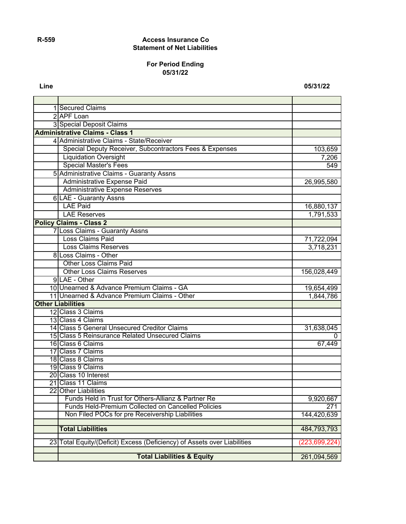## **R-559 Access Insurance Co Statement of Net Liabilities**

### **For Period Ending 05/31/22**

**Line 05/31/22**

| 1 Secured Claims                                                         |                 |
|--------------------------------------------------------------------------|-----------------|
| 2 APF Loan                                                               |                 |
| 3 Special Deposit Claims                                                 |                 |
| <b>Administrative Claims - Class 1</b>                                   |                 |
| 4 Administrative Claims - State/Receiver                                 |                 |
| Special Deputy Receiver, Subcontractors Fees & Expenses                  | 103,659         |
| <b>Liquidation Oversight</b>                                             | 7,206           |
| <b>Special Master's Fees</b>                                             | 549             |
| 5 Administrative Claims - Guaranty Assns                                 |                 |
| Administrative Expense Paid                                              | 26,995,580      |
| <b>Administrative Expense Reserves</b>                                   |                 |
| <b>6 LAE - Guaranty Assns</b>                                            |                 |
| <b>LAE Paid</b>                                                          | 16,880,137      |
| <b>LAE Reserves</b>                                                      | 1,791,533       |
| <b>Policy Claims - Class 2</b>                                           |                 |
| 7 Loss Claims - Guaranty Assns                                           |                 |
| Loss Claims Paid                                                         | 71,722,094      |
| <b>Loss Claims Reserves</b>                                              | 3,718,231       |
| 8 Loss Claims - Other                                                    |                 |
| <b>Other Loss Claims Paid</b>                                            |                 |
| <b>Other Loss Claims Reserves</b>                                        | 156,028,449     |
| 9LAE - Other                                                             |                 |
| 10 Unearned & Advance Premium Claims - GA                                | 19,654,499      |
| 11 Unearned & Advance Premium Claims - Other                             | 1,844,786       |
| <b>Other Liabilities</b>                                                 |                 |
| 12 Class 3 Claims                                                        |                 |
| 13 Class 4 Claims                                                        |                 |
| 14 Class 5 General Unsecured Creditor Claims                             | 31,638,045      |
| 15 Class 5 Reinsurance Related Unsecured Claims                          | $\mathbf{0}$    |
| 16 Class 6 Claims                                                        | 67,449          |
| 17 Class 7 Claims                                                        |                 |
| 18 Class 8 Claims                                                        |                 |
| 19 Class 9 Claims                                                        |                 |
| 20 Class 10 Interest                                                     |                 |
| 21 Class 11 Claims                                                       |                 |
| 22 Other Liabilities                                                     |                 |
| Funds Held in Trust for Others-Allianz & Partner Re                      | 9,920,667       |
| Funds Held-Premium Collected on Cancelled Policies                       | 271             |
| Non Filed POCs for pre Receivership Liabilities                          | 144,420,639     |
| <b>Total Liabilities</b>                                                 | 484,793,793     |
|                                                                          |                 |
| 23 Total Equity/(Deficit) Excess (Deficiency) of Assets over Liabilities | (223, 699, 224) |
|                                                                          |                 |
| <b>Total Liabilities &amp; Equity</b>                                    | 261,094,569     |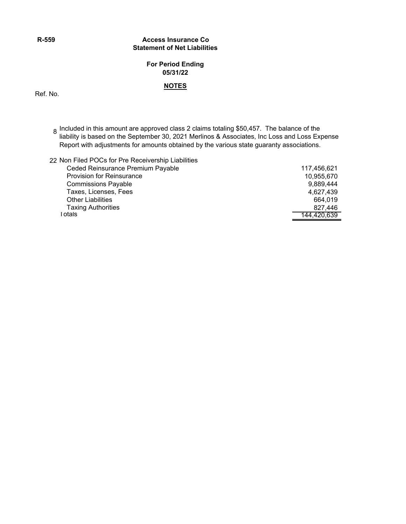### **R-559 Access Insurance Co Statement of Net Liabilities**

## **For Period Ending 05/31/22**

### **NOTES**

Ref. No.

- 8 Included in this amount are approved class 2 claims totaling \$50,457. The balance of the liability is based on the September 30, 2021 Merlinos & Associates, Inc Loss and Loss Expense Report with adjustments for amounts obtained by the various state guaranty associations.
- 22 Non Filed POCs for Pre Receivership Liabilities

| Ceded Reinsurance Premium Payable | 117,456,621 |
|-----------------------------------|-------------|
| <b>Provision for Reinsurance</b>  | 10,955,670  |
| <b>Commissions Payable</b>        | 9,889,444   |
| Taxes, Licenses, Fees             | 4.627.439   |
| <b>Other Liabilities</b>          | 664.019     |
| <b>Taxing Authorities</b>         | 827.446     |
| l otals                           | 144,420,639 |
|                                   |             |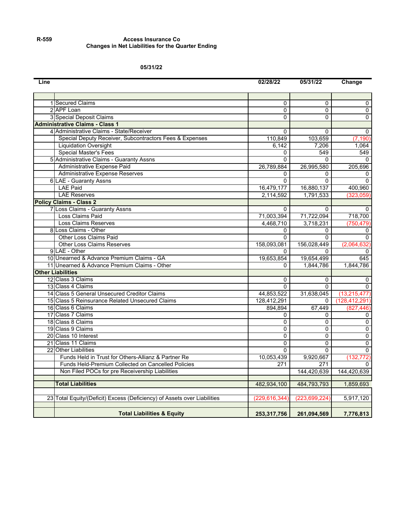#### **R-559 Access Insurance Co Changes in Net Liabilities for the Quarter Ending**

#### **05/31/22**

| Line |                                                                          | 02/28/22        | 05/31/22        | Change          |
|------|--------------------------------------------------------------------------|-----------------|-----------------|-----------------|
|      |                                                                          |                 |                 |                 |
|      | 1 Secured Claims                                                         | $\Omega$        | $\Omega$        | 0               |
|      | 2 APF Loan                                                               | $\Omega$        | $\Omega$        | 0               |
|      | 3 Special Deposit Claims                                                 | $\Omega$        | $\Omega$        | $\Omega$        |
|      | <b>Administrative Claims - Class 1</b>                                   |                 |                 |                 |
|      | 4 Administrative Claims - State/Receiver                                 | $\Omega$        | $\Omega$        | 0               |
|      | Special Deputy Receiver, Subcontractors Fees & Expenses                  | 110,849         | 103,659         | (7, 190)        |
|      | <b>Liquidation Oversight</b>                                             | 6,142           | 7,206           | 1,064           |
|      | Special Master's Fees                                                    | 0               | 549             | 549             |
|      | 5 Administrative Claims - Guaranty Assns                                 | 0               | $\Omega$        | $\Omega$        |
|      | Administrative Expense Paid                                              | 26,789,884      | 26,995,580      | 205,696         |
|      | Administrative Expense Reserves                                          | $\Omega$        |                 | 0               |
|      | <b>6 LAE - Guaranty Assns</b>                                            | $\Omega$        | $\Omega$        | $\mathbf{0}$    |
|      | <b>LAE Paid</b>                                                          | 16,479,177      | 16,880,137      | 400,960         |
|      | <b>LAE Reserves</b>                                                      | 2,114,592       | 1,791,533       | (323,059)       |
|      | <b>Policy Claims - Class 2</b>                                           |                 |                 |                 |
|      | 7 Loss Claims - Guaranty Assns                                           | $\Omega$        | $\Omega$        | $\Omega$        |
|      | Loss Claims Paid                                                         | 71,003,394      | 71,722,094      | 718,700         |
|      | Loss Claims Reserves                                                     | 4,468,710       | 3,718,231       | (750, 479)      |
|      | 8 Loss Claims - Other                                                    | $\mathbf{0}$    | $\Omega$        | 0               |
|      | Other Loss Claims Paid                                                   | $\Omega$        | $\Omega$        | 0               |
|      | <b>Other Loss Claims Reserves</b>                                        | 158,093,081     | 156,028,449     | (2,064,632)     |
|      | 9 LAE - Other                                                            | 0               | 0               | 0               |
|      | 10 Unearned & Advance Premium Claims - GA                                | 19,653,854      | 19,654,499      | 645             |
|      | 11 Unearned & Advance Premium Claims - Other                             |                 | 1,844,786       | 1,844,786       |
|      | <b>Other Liabilities</b>                                                 |                 |                 |                 |
|      | 12 Class 3 Claims                                                        | 0               | 0               | 0               |
|      | 13 Class 4 Claims                                                        | $\Omega$        | $\Omega$        | $\Omega$        |
|      | 14 Class 5 General Unsecured Creditor Claims                             | 44,853,522      | 31,638,045      | (13, 215, 477)  |
|      | 15 Class 5 Reinsurance Related Unsecured Claims                          | 128,412,291     | $\Omega$        | (128, 412, 291) |
|      | 16 Class 6 Claims                                                        | 894,894         | 67,449          | (827,446)       |
|      | 17 Class 7 Claims                                                        | $\Omega$        | $\Omega$        | 0               |
|      | 18 Class 8 Claims                                                        | $\overline{0}$  | $\Omega$        | $\overline{0}$  |
|      | 19 Class 9 Claims                                                        | $\Omega$        | $\Omega$        | 0               |
|      | 20 Class 10 Interest                                                     | $\Omega$        | $\Omega$        | 0               |
|      | 21 Class 11 Claims                                                       | $\Omega$        | $\Omega$        | 0               |
|      | 22 Other Liabilities                                                     | $\Omega$        | $\Omega$        | $\Omega$        |
|      | Funds Held in Trust for Others-Allianz & Partner Re                      | 10,053,439      | 9,920,667       | (132, 772)      |
|      | Funds Held-Premium Collected on Cancelled Policies                       | 271             | 271             |                 |
|      | Non Filed POCs for pre Receivership Liabilities                          |                 | 144,420,639     | 144,420,639     |
|      | <b>Total Liabilities</b>                                                 | 482,934,100     | 484,793,793     | 1,859,693       |
|      |                                                                          |                 |                 |                 |
|      | 23 Total Equity/(Deficit) Excess (Deficiency) of Assets over Liabilities | (229, 616, 344) | (223, 699, 224) | 5,917,120       |
|      |                                                                          |                 |                 |                 |
|      | <b>Total Liabilities &amp; Equity</b>                                    | 253,317,756     | 261,094,569     | 7,776,813       |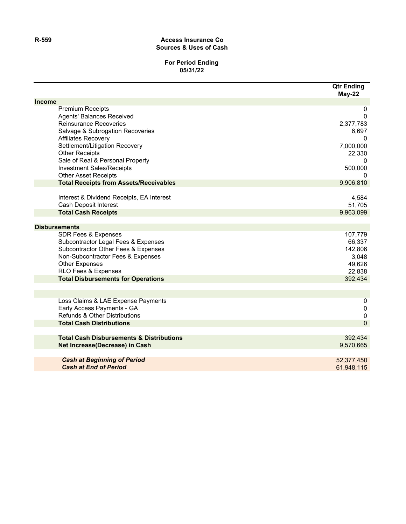#### **R-559 Access Insurance Co Sources & Uses of Cash**

### **For Period Ending 05/31/22**

|               |                                                                                                                                                                                                                                                                                                                                  | <b>Qtr Ending</b><br>May-22                                                          |
|---------------|----------------------------------------------------------------------------------------------------------------------------------------------------------------------------------------------------------------------------------------------------------------------------------------------------------------------------------|--------------------------------------------------------------------------------------|
| <b>Income</b> |                                                                                                                                                                                                                                                                                                                                  |                                                                                      |
|               | <b>Premium Receipts</b><br><b>Agents' Balances Received</b><br><b>Reinsurance Recoveries</b><br>Salvage & Subrogation Recoveries<br><b>Affiliates Recovery</b><br>Settlement/Litigation Recovery<br><b>Other Receipts</b><br>Sale of Real & Personal Property<br><b>Investment Sales/Receipts</b><br><b>Other Asset Receipts</b> | 0<br>0<br>2,377,783<br>6,697<br>0<br>7,000,000<br>22,330<br>0<br>500,000<br>$\Omega$ |
|               | <b>Total Receipts from Assets/Receivables</b>                                                                                                                                                                                                                                                                                    | 9,906,810                                                                            |
|               | Interest & Dividend Receipts, EA Interest<br>Cash Deposit Interest<br><b>Total Cash Receipts</b>                                                                                                                                                                                                                                 | 4,584<br>51,705<br>9,963,099                                                         |
|               |                                                                                                                                                                                                                                                                                                                                  |                                                                                      |
|               | <b>Disbursements</b>                                                                                                                                                                                                                                                                                                             |                                                                                      |
|               | <b>SDR Fees &amp; Expenses</b><br>Subcontractor Legal Fees & Expenses<br>Subcontractor Other Fees & Expenses<br>Non-Subcontractor Fees & Expenses<br><b>Other Expenses</b><br>RLO Fees & Expenses                                                                                                                                | 107,779<br>66,337<br>142,806<br>3,048<br>49,626<br>22,838                            |
|               | <b>Total Disbursements for Operations</b>                                                                                                                                                                                                                                                                                        | 392,434                                                                              |
|               |                                                                                                                                                                                                                                                                                                                                  |                                                                                      |
|               |                                                                                                                                                                                                                                                                                                                                  |                                                                                      |
|               | Loss Claims & LAE Expense Payments<br>Early Access Payments - GA<br>Refunds & Other Distributions                                                                                                                                                                                                                                | 0<br>$\pmb{0}$<br>$\pmb{0}$                                                          |
|               | <b>Total Cash Distributions</b>                                                                                                                                                                                                                                                                                                  | $\overline{0}$                                                                       |
|               |                                                                                                                                                                                                                                                                                                                                  |                                                                                      |
|               | <b>Total Cash Disbursements &amp; Distributions</b><br>Net Increase(Decrease) in Cash                                                                                                                                                                                                                                            | 392,434<br>9,570,665                                                                 |
|               | <b>Cash at Beginning of Period</b>                                                                                                                                                                                                                                                                                               | 52,377,450                                                                           |
|               | <b>Cash at End of Period</b>                                                                                                                                                                                                                                                                                                     | 61,948,115                                                                           |